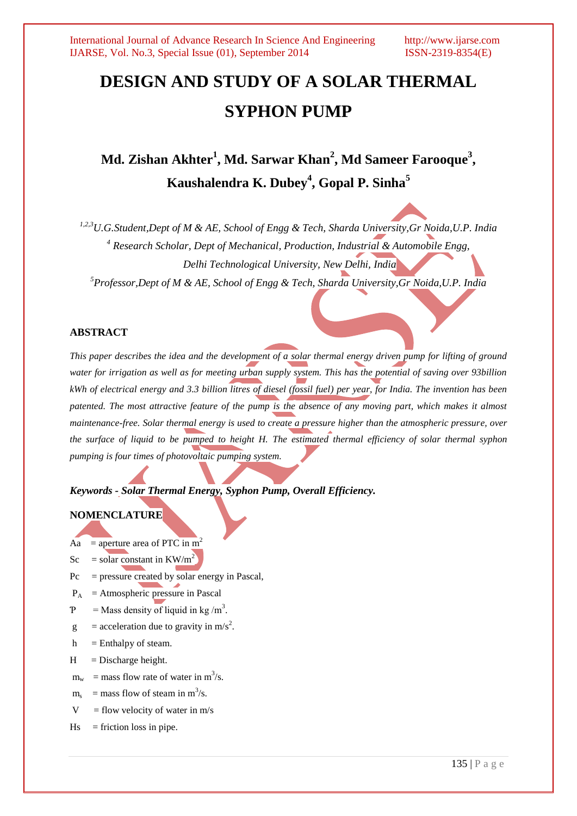# **DESIGN AND STUDY OF A SOLAR THERMAL SYPHON PUMP**

## **Md. Zishan Akhter 1 , Md. Sarwar Khan<sup>2</sup> , Md Sameer Farooque<sup>3</sup> , Kaushalendra K. Dubey<sup>4</sup> , Gopal P. Sinha<sup>5</sup>**

*1,2,3U.G.Student,Dept of M & AE, School of Engg & Tech, Sharda University,Gr Noida,U.P. India <sup>4</sup> Research Scholar, Dept of Mechanical, Production, Industrial & Automobile Engg, Delhi Technological University, New Delhi, India*

*<sup>5</sup>Professor,Dept of M & AE, School of Engg & Tech, Sharda University,Gr Noida,U.P. India*

### **ABSTRACT**

*This paper describes the idea and the development of a solar thermal energy driven pump for lifting of ground water for irrigation as well as for meeting urban supply system. This has the potential of saving over 93billion kWh of electrical energy and 3.3 billion litres of diesel (fossil fuel) per year, for India. The invention has been patented. The most attractive feature of the pump is the absence of any moving part, which makes it almost maintenance-free. Solar thermal energy is used to create a pressure higher than the atmospheric pressure, over the surface of liquid to be pumped to height H. The estimated thermal efficiency of solar thermal syphon pumping is four times of photovoltaic pumping system.*

*Keywords - Solar Thermal Energy, Syphon Pump, Overall Efficiency.*

### **NOMENCLATURE**

- Aa = aperture area of PTC in  $m^2$
- Sc = solar constant in KW/m<sup>2</sup>
- $Pc = pressure$  created by solar energy in Pascal,
- $P_A$  = Atmospheric pressure in Pascal
- $P =$  Mass density of liquid in kg/m<sup>3</sup>.
- $g =$  acceleration due to gravity in m/s<sup>2</sup>.
- $h =$  Enthalpy of steam.
- $H = Discharge height.$
- $m_w$  = mass flow rate of water in m<sup>3</sup>/s.
- $m_s$  = mass flow of steam in  $m^3/s$ .
- $V =$  flow velocity of water in m/s
- $Hs =$  friction loss in pipe.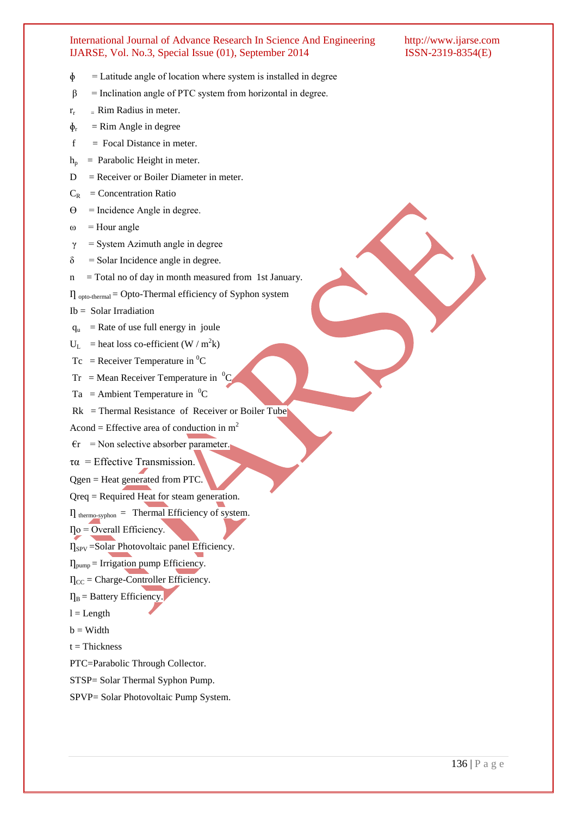- $\phi$  = Latitude angle of location where system is installed in degree
- $\beta$  = Inclination angle of PTC system from horizontal in degree.
- $r_r =$  Rim Radius in meter.
- $\Phi_r$  $=$  Rim Angle in degree
- $f = Focal Distance in meter.$
- $h_p$  = Parabolic Height in meter.
- $D =$  Receiver or Boiler Diameter in meter.
- $C_R$  = Concentration Ratio
- $\Theta$  = Incidence Angle in degree.
- $\omega$  = Hour angle
- $\gamma$  = System Azimuth angle in degree
- $\delta$  = Solar Incidence angle in degree.
- $n =$  Total no of day in month measured from 1st January.
- $\Pi_{\text{opto-thermal}} = \text{Opto-Thermal efficiency of Sython system}$
- Ib = Solar Irradiation
- $q_u$  = Rate of use full energy in joule
- $U_L$  = heat loss co-efficient (W / m<sup>2</sup>k)
- $Tc$  = Receiver Temperature in <sup>0</sup>C
- $Tr$  = Mean Receiver Temperature in  ${}^{0}C$
- Ta = Ambient Temperature in  ${}^{0}C$
- $Rk = Thermal Resistance of Receiver or Boiler Tube)$
- Acond = Effective area of conduction in  $m<sup>2</sup>$
- $\epsilon$ r = Non selective absorber parameter.
- $\tau \alpha$  = Effective Transmission.
- Qgen = Heat generated from PTC.
- Qreq = Required Heat for steam generation.
- $\Pi$ <sub>thermo-syphon</sub> = Thermal Efficiency of system.
- $\Gamma$ o = Overall Efficiency.
- $\eta_{SPV} = \frac{SolarPhotovoltaic}{P}$  panel Efficiency.
- $\eta_{pump}$  = Irrigation pump Efficiency.
- $\eta_{\text{CC}}$  = Charge-Controller Efficiency.
- $\Pi_B$  = Battery Efficiency.
- $l =$ Length
- $b = Width$
- $t = Thickness$
- PTC=Parabolic Through Collector.
- STSP= Solar Thermal Syphon Pump.
- SPVP= Solar Photovoltaic Pump System.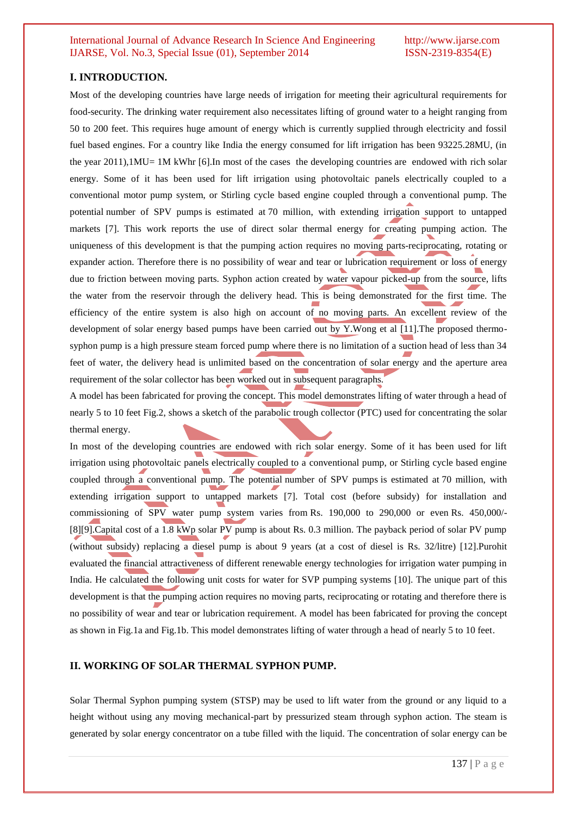### **I. INTRODUCTION.**

Most of the developing countries have large needs of irrigation for meeting their agricultural requirements for food-security. The drinking water requirement also necessitates lifting of ground water to a height ranging from 50 to 200 feet. This requires huge amount of energy which is currently supplied through electricity and fossil fuel based engines. For a country like India the energy consumed for lift irrigation has been 93225.28MU, (in the year  $2011$ ),1MU= 1M kWhr [6].In most of the cases the developing countries are endowed with rich solar energy. Some of it has been used for lift irrigation using photovoltaic panels electrically coupled to a conventional motor pump system, or Stirling cycle based engine coupled through a conventional pump. The potential number of SPV pumps is estimated at 70 million, with extending irrigation support to untapped markets [7]. This work reports the use of direct solar thermal energy for creating pumping action. The uniqueness of this development is that the pumping action requires no moving parts-reciprocating, rotating or expander action. Therefore there is no possibility of wear and tear or lubrication requirement or loss of energy due to friction between moving parts. Syphon action created by water vapour picked-up from the source, lifts the water from the reservoir through the delivery head. This is being demonstrated for the first time. The efficiency of the entire system is also high on account of no moving parts. An excellent review of the development of solar energy based pumps have been carried out by Y.Wong et al [11].The proposed thermosyphon pump is a high pressure steam forced pump where there is no limitation of a suction head of less than 34 feet of water, the delivery head is unlimited based on the concentration of solar energy and the aperture area requirement of the solar collector has been worked out in subsequent paragraphs.

A model has been fabricated for proving the concept. This model demonstrates lifting of water through a head of nearly 5 to 10 feet Fig.2, shows a sketch of the parabolic trough collector (PTC) used for concentrating the solar thermal energy.

In most of the developing countries are endowed with rich solar energy. Some of it has been used for lift irrigation using photovoltaic panels electrically coupled to a conventional pump, or Stirling cycle based engine coupled through a conventional pump. The potential number of SPV pumps is estimated at 70 million, with extending irrigation support to untapped markets [7]. Total cost (before subsidy) for installation and commissioning of SPV water pump system varies from Rs. 190,000 to 290,000 or even Rs. 450,000/-[8][9].Capital cost of a 1.8 kWp solar PV pump is about Rs. 0.3 million. The payback period of solar PV pump (without subsidy) replacing a diesel pump is about 9 years (at a cost of diesel is Rs. 32/litre) [12].Purohit evaluated the financial attractiveness of different renewable energy technologies for irrigation water pumping in India. He calculated the following unit costs for water for SVP pumping systems [10]. The unique part of this development is that the pumping action requires no moving parts, reciprocating or rotating and therefore there is no possibility of wear and tear or lubrication requirement. A model has been fabricated for proving the concept as shown in Fig.1a and Fig.1b. This model demonstrates lifting of water through a head of nearly 5 to 10 feet.

### **II. WORKING OF SOLAR THERMAL SYPHON PUMP.**

Solar Thermal Syphon pumping system (STSP) may be used to lift water from the ground or any liquid to a height without using any moving mechanical-part by pressurized steam through syphon action. The steam is generated by solar energy concentrator on a tube filled with the liquid. The concentration of solar energy can be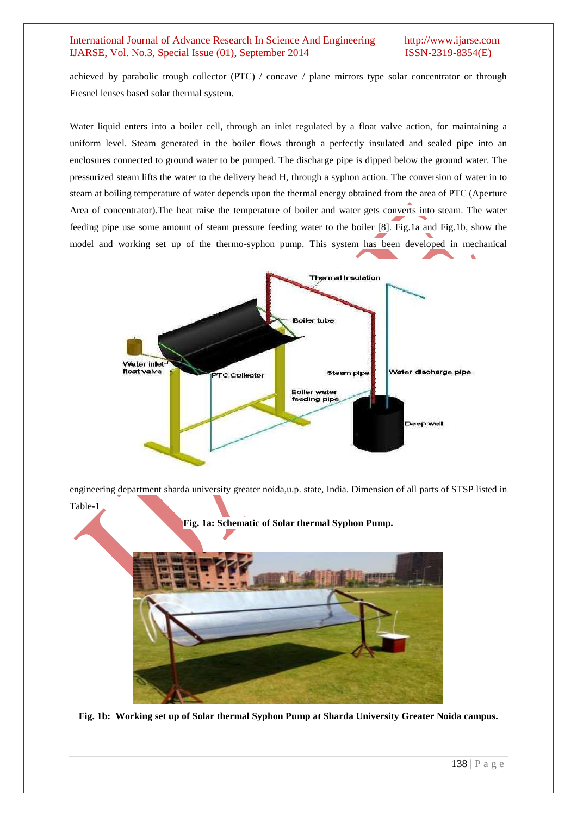achieved by parabolic trough collector (PTC) / concave / plane mirrors type solar concentrator or through Fresnel lenses based solar thermal system.

Water liquid enters into a boiler cell, through an inlet regulated by a float valve action, for maintaining a uniform level. Steam generated in the boiler flows through a perfectly insulated and sealed pipe into an enclosures connected to ground water to be pumped. The discharge pipe is dipped below the ground water. The pressurized steam lifts the water to the delivery head H, through a syphon action. The conversion of water in to steam at boiling temperature of water depends upon the thermal energy obtained from the area of PTC (Aperture Area of concentrator).The heat raise the temperature of boiler and water gets converts into steam. The water feeding pipe use some amount of steam pressure feeding water to the boiler [8]. Fig.1a and Fig.1b, show the model and working set up of the thermo-syphon pump. This system has been developed in mechanical



engineering department sharda university greater noida,u.p. state, India. Dimension of all parts of STSP listed in Table-1



**Fig. 1b: Working set up of Solar thermal Syphon Pump at Sharda University Greater Noida campus.**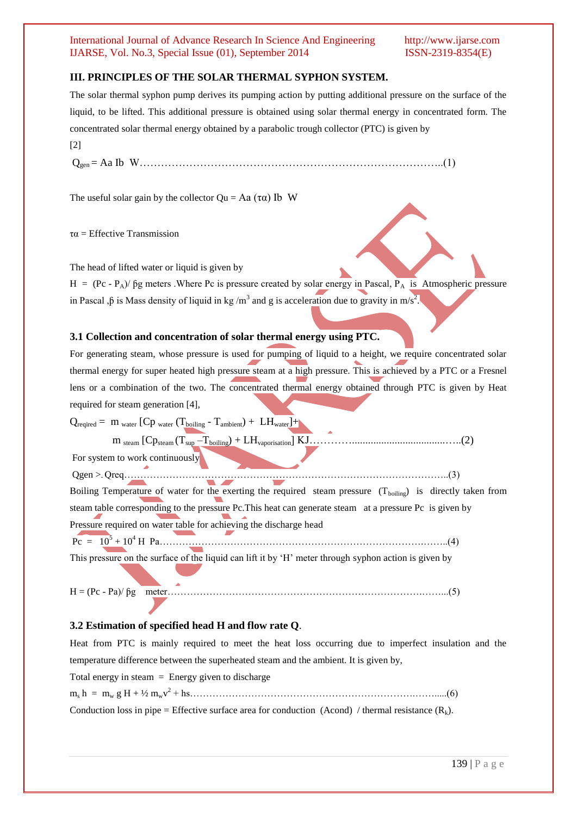### **III. PRINCIPLES OF THE SOLAR THERMAL SYPHON SYSTEM.**

The solar thermal syphon pump derives its pumping action by putting additional pressure on the surface of the liquid, to be lifted. This additional pressure is obtained using solar thermal energy in concentrated form. The concentrated solar thermal energy obtained by a parabolic trough collector (PTC) is given by [2]

Qgen = Aa Ib W…………………………………………………………………………..(1)

The useful solar gain by the collector  $\text{Ou} = \text{Aa}(\tau \alpha)$  Ib W

 $\tau\alpha$  = Effective Transmission

The head of lifted water or liquid is given by

 $H = (Pc - P_A)/\beta g$  meters . Where Pc is pressure created by solar energy in Pascal,  $\overline{P_A}$  is Atmospheric pressure in Pascal , $\beta$  is Mass density of liquid in kg/m<sup>3</sup> and g is acceleration due to gravity in m/s<sup>2</sup>.

### **3.1 Collection and concentration of solar thermal energy using PTC.**

For generating steam, whose pressure is used for pumping of liquid to a height, we require concentrated solar thermal energy for super heated high pressure steam at a high pressure. This is achieved by a PTC or a Fresnel lens or a combination of the two. The concentrated thermal energy obtained through PTC is given by Heat required for steam generation [4],

 $Q_{\text{required}} = m_{\text{water}} [Cp_{\text{water}} (T_{\text{boiling}} - T_{\text{ambient}}) + LH_{\text{water}}] + \mathcal{E}$  m steam [Cpsteam (Tsup –Tboiling) + LHvaporisation] KJ…………...................................…..(2) For system to work continuously Qgen >- Qreq………………………………………………………………………………………..(3) Boiling Temperature of water for the exerting the required steam pressure  $(T_{boiline})$  is directly taken from steam table corresponding to the pressure Pc.This heat can generate steam at a pressure Pc is given by Pressure required on water table for achieving the discharge head Pc = 10<sup>5</sup> + 10<sup>4</sup> H Pa……………………………………………………………………….……..(4) This pressure on the surface of the liquid can lift it by 'H' meter through syphon action is given by

H = (Pc - Pa)/ ƥg meter…………………………………………………………………….……...(5)

### **3.2 Estimation of specified head H and flow rate Q**.

Heat from PTC is mainly required to meet the heat loss occurring due to imperfect insulation and the temperature difference between the superheated steam and the ambient. It is given by,

Total energy in steam  $=$  Energy given to discharge

 $m_s h = m_w g H + \frac{1}{2} m_w v^2 + h s \dots$  (6) Conduction loss in pipe = Effective surface area for conduction (Acond) / thermal resistance  $(R_k)$ .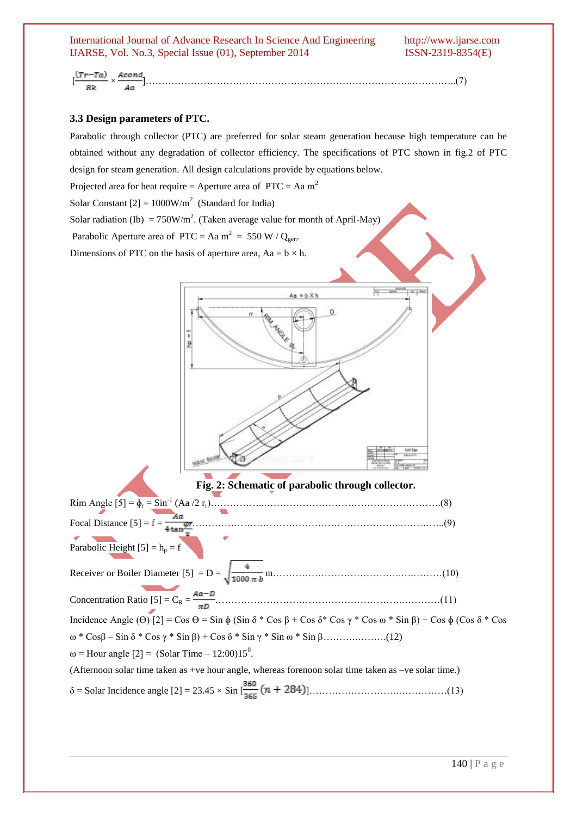# [ × ]………………………………………………………………………..…………..(7)

### **3.3 Design parameters of PTC.**

Parabolic through collector (PTC) are preferred for solar steam generation because high temperature can be obtained without any degradation of collector efficiency. The specifications of PTC shown in fig.2 of PTC design for steam generation. All design calculations provide by equations below.

Projected area for heat require = Aperture area of  $PTC = Aa m^2$ 

Solar Constant  $[2] = 1000W/m^2$  (Standard for India)

Solar radiation (Ib) = 750W/m<sup>2</sup>. (Taken average value for month of April-May)

Parabolic Aperture area of PTC = Aa m<sup>2</sup> = 550 W / Q<sub>gen</sub>.

Dimensions of PTC on the basis of aperture area,  $Aa = b \times h$ .

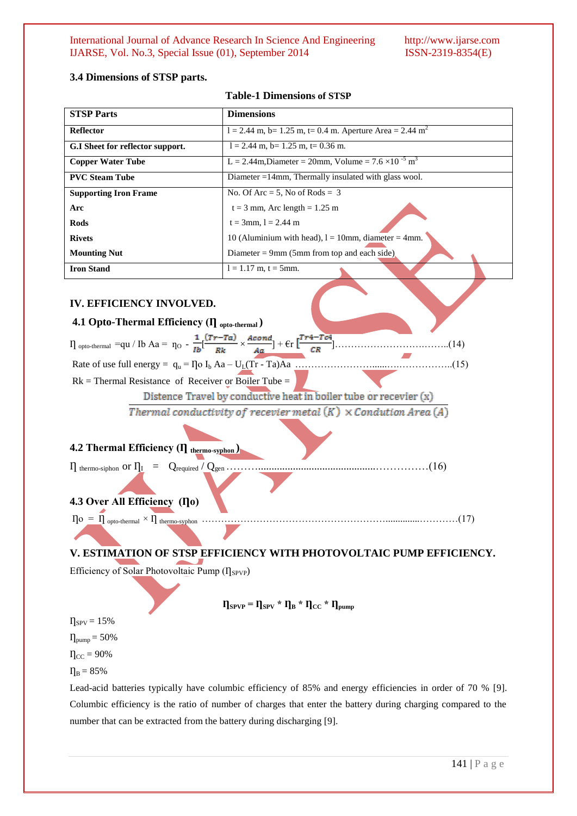### **3.4 Dimensions of STSP parts.**

### **Table-1 Dimensions of STSP**

| <b>STSP Parts</b>                                                                                                                                                                                | <b>Dimensions</b>                                                        |  |  |  |
|--------------------------------------------------------------------------------------------------------------------------------------------------------------------------------------------------|--------------------------------------------------------------------------|--|--|--|
| <b>Reflector</b>                                                                                                                                                                                 | $l = 2.44$ m, b= 1.25 m, t= 0.4 m. Aperture Area = 2.44 m <sup>2</sup>   |  |  |  |
| G.I Sheet for reflector support.                                                                                                                                                                 | $l = 2.44$ m, b= 1.25 m, t= 0.36 m.                                      |  |  |  |
| <b>Copper Water Tube</b>                                                                                                                                                                         | L = 2.44m, Diameter = 20mm, Volume = $7.6 \times 10^{-5}$ m <sup>3</sup> |  |  |  |
| <b>PVC Steam Tube</b>                                                                                                                                                                            | Diameter $=14$ mm, Thermally insulated with glass wool.                  |  |  |  |
| <b>Supporting Iron Frame</b>                                                                                                                                                                     | No. Of Arc = 5, No of Rods = $3$                                         |  |  |  |
| Arc                                                                                                                                                                                              | $t = 3$ mm, Arc length = 1.25 m                                          |  |  |  |
| <b>Rods</b>                                                                                                                                                                                      | $t = 3$ mm, $l = 2.44$ m                                                 |  |  |  |
| <b>Rivets</b>                                                                                                                                                                                    | 10 (Aluminium with head), $l = 10$ mm, diameter = 4mm.                   |  |  |  |
| <b>Mounting Nut</b>                                                                                                                                                                              | Diameter = 9mm (5mm from top and each side),                             |  |  |  |
| <b>Iron Stand</b>                                                                                                                                                                                | $l = 1.17$ m, $t = 5$ mm.                                                |  |  |  |
| <b>IV. EFFICIENCY INVOLVED.</b><br>4.1 Opto-Thermal Efficiency (I] opto-thermal)                                                                                                                 |                                                                          |  |  |  |
| $\Pi_{\text{opto-thermal}} = qu / Ib Aa = \eta_{\text{O}} - \frac{1}{Ib} \left[ \frac{(Tr - Ta)}{Rb} \times \frac{Acond}{Aa} \right] + \epsilon_{\text{F}} \left[ \frac{Tr4 - Tc4}{CR} \right].$ |                                                                          |  |  |  |
| (15)                                                                                                                                                                                             |                                                                          |  |  |  |
| $Rk$ = Thermal Resistance of Receiver or Boiler Tube =                                                                                                                                           |                                                                          |  |  |  |
| Distence Travel by conductive heat in boiler tube or recevier (x)                                                                                                                                |                                                                          |  |  |  |
| Thermal conductivity of recevier metal $(K) \times$ Condution Area $(A)$                                                                                                                         |                                                                          |  |  |  |
| <b>4.2 Thermal Efficiency (<math>\Pi</math></b> thermo-syphon)                                                                                                                                   |                                                                          |  |  |  |
| (16)<br>4.3 Over All Efficiency (I]o)<br>$\eta$ o = $\eta$ opto-thermal $\times \eta$ thermo-syphon.<br>(17)                                                                                     |                                                                          |  |  |  |

## **V. ESTIMATION OF STSP EFFICIENCY WITH PHOTOVOLTAIC PUMP EFFICIENCY.**

Efficiency of Solar Photovoltaic Pump  $(\eta_{\text{SPP}})$ 

 $\eta_{\text{SPVP}} = \eta_{\text{SPV}} * \eta_{\text{B}} * \eta_{\text{CC}} * \eta_{\text{pump}}$ 

 $\eta_{SPV} = 15\%$ 

 $\eta_{pump} = 50\%$ 

 $\eta_{\text{CC}} = 90\%$ 

 $\Pi_B = 85%$ 

Lead-acid batteries typically have columbic efficiency of 85% and energy efficiencies in order of 70 % [9]. Columbic efficiency is the ratio of number of charges that enter the battery during charging compared to the number that can be extracted from the battery during discharging [9].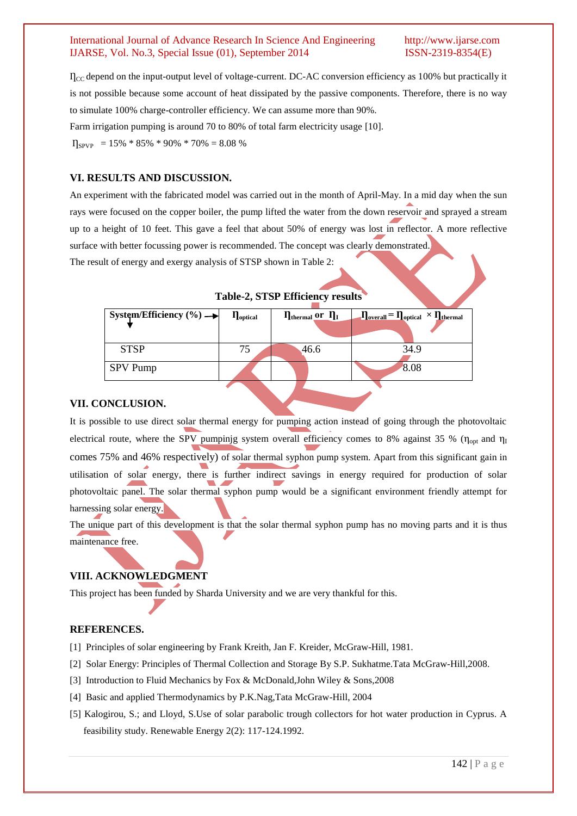$\Gamma_{\text{CC}}$  depend on the input-output level of voltage-current. DC-AC conversion efficiency as 100% but practically it is not possible because some account of heat dissipated by the passive components. Therefore, there is no way to simulate 100% charge-controller efficiency. We can assume more than 90%. Farm irrigation pumping is around 70 to 80% of total farm electricity usage [10].  $\Pi_{\text{SPVP}}$  = 15% \* 85% \* 90% \* 70% = 8.08 %

## **VI. RESULTS AND DISCUSSION.**

An experiment with the fabricated model was carried out in the month of April-May. In a mid day when the sun rays were focused on the copper boiler, the pump lifted the water from the down reservoir and sprayed a stream up to a height of 10 feet. This gave a feel that about 50% of energy was lost in reflector. A more reflective surface with better focussing power is recommended. The concept was clearly demonstrated.

The result of energy and exergy analysis of STSP shown in Table 2:

| System/Efficiency $(\% ) \rightarrow$ | $\eta_{optical}$ | $\eta_{\text{thermal}}$ or $\eta_I$ | $\Pi_{\text{overall}} = \Pi_{\text{optical}} \times \Pi_{\text{thermal}}$ |
|---------------------------------------|------------------|-------------------------------------|---------------------------------------------------------------------------|
| <b>STSP</b>                           | 75               | 46.6                                | 34.9                                                                      |
| <b>SPV Pump</b>                       |                  |                                     | 8.08                                                                      |
|                                       |                  |                                     |                                                                           |

**Table-2, STSP Efficiency results**

### **VII. CONCLUSION.**

It is possible to use direct solar thermal energy for pumping action instead of going through the photovoltaic electrical route, where the SPV pumping system overall efficiency comes to 8% against 35 % ( $\eta_{\text{out}}$  and  $\eta_I$ ) comes 75% and 46% respectively) of solar thermal syphon pump system. Apart from this significant gain in utilisation of solar energy, there is further indirect savings in energy required for production of solar photovoltaic panel. The solar thermal syphon pump would be a significant environment friendly attempt for harnessing solar energy.

The unique part of this development is that the solar thermal syphon pump has no moving parts and it is thus maintenance free.

## **VIII. ACKNOWLEDGMENT**

This project has been funded by Sharda University and we are very thankful for this.

### **REFERENCES.**

- [1] Principles of solar engineering by [Frank Kreith,](http://www.google.co.in/search?tbo=p&tbm=bks&q=inauthor:%22Frank+Kreith%22) [Jan F. Kreider,](http://www.google.co.in/search?tbo=p&tbm=bks&q=inauthor:%22Jan+F.+Kreider%22) McGraw-Hill, 1981.
- [2] Solar Energy: Principles of Thermal Collection and Storage By S.P. Sukhatme.Tata McGraw-Hill,2008.
- [3] Introduction to Fluid Mechanics by Fox & McDonald,John Wiley & Sons,2008
- [4] Basic and applied Thermodynamics by P.K.Nag,Tata McGraw-Hill, 2004
- [5] Kalogirou, S.; and Lloyd, S.Use of solar parabolic trough collectors for hot water production in Cyprus. A feasibility study. Renewable Energy 2(2): 117-124.1992.